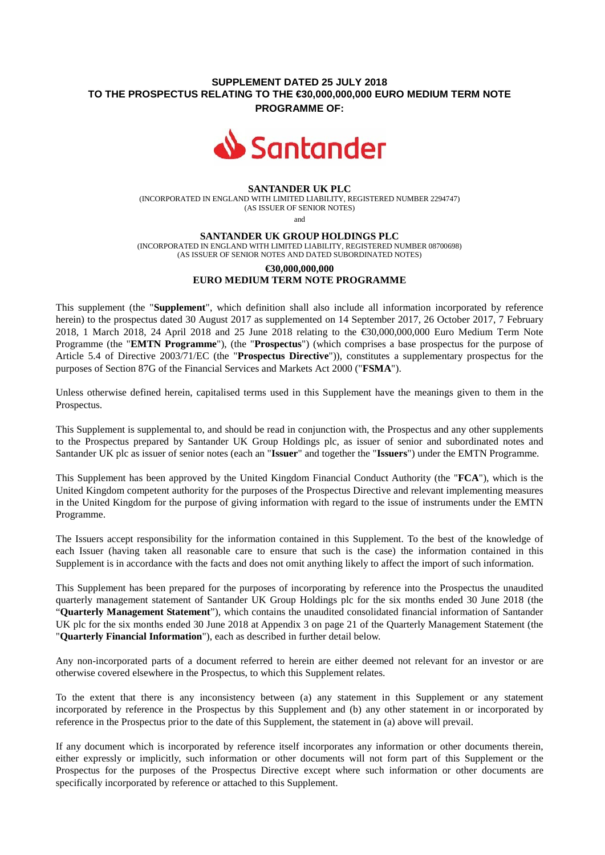## **SUPPLEMENT DATED 25 JULY 2018 TO THE PROSPECTUS RELATING TO THE €30,000,000,000 EURO MEDIUM TERM NOTE PROGRAMME OF:**



#### **SANTANDER UK PLC**

(INCORPORATED IN ENGLAND WITH LIMITED LIABILITY, REGISTERED NUMBER 2294747) (AS ISSUER OF SENIOR NOTES)

and

#### **SANTANDER UK GROUP HOLDINGS PLC**

(INCORPORATED IN ENGLAND WITH LIMITED LIABILITY, REGISTERED NUMBER 08700698) (AS ISSUER OF SENIOR NOTES AND DATED SUBORDINATED NOTES)

# **€30,000,000,000 EURO MEDIUM TERM NOTE PROGRAMME**

This supplement (the "**Supplement**", which definition shall also include all information incorporated by reference herein) to the prospectus dated 30 August 2017 as supplemented on 14 September 2017, 26 October 2017, 7 February 2018, 1 March 2018, 24 April 2018 and 25 June 2018 relating to the €30,000,000,000 Euro Medium Term Note Programme (the "**EMTN Programme**"), (the "**Prospectus**") (which comprises a base prospectus for the purpose of Article 5.4 of Directive 2003/71/EC (the "**Prospectus Directive**")), constitutes a supplementary prospectus for the purposes of Section 87G of the Financial Services and Markets Act 2000 ("**FSMA**").

Unless otherwise defined herein, capitalised terms used in this Supplement have the meanings given to them in the Prospectus.

This Supplement is supplemental to, and should be read in conjunction with, the Prospectus and any other supplements to the Prospectus prepared by Santander UK Group Holdings plc, as issuer of senior and subordinated notes and Santander UK plc as issuer of senior notes (each an "**Issuer**" and together the "**Issuers**") under the EMTN Programme.

This Supplement has been approved by the United Kingdom Financial Conduct Authority (the "**FCA**"), which is the United Kingdom competent authority for the purposes of the Prospectus Directive and relevant implementing measures in the United Kingdom for the purpose of giving information with regard to the issue of instruments under the EMTN Programme.

The Issuers accept responsibility for the information contained in this Supplement. To the best of the knowledge of each Issuer (having taken all reasonable care to ensure that such is the case) the information contained in this Supplement is in accordance with the facts and does not omit anything likely to affect the import of such information.

This Supplement has been prepared for the purposes of incorporating by reference into the Prospectus the unaudited quarterly management statement of Santander UK Group Holdings plc for the six months ended 30 June 2018 (the "**Quarterly Management Statement**"), which contains the unaudited consolidated financial information of Santander UK plc for the six months ended 30 June 2018 at Appendix 3 on page 21 of the Quarterly Management Statement (the "**Quarterly Financial Information**"), each as described in further detail below.

Any non-incorporated parts of a document referred to herein are either deemed not relevant for an investor or are otherwise covered elsewhere in the Prospectus, to which this Supplement relates.

To the extent that there is any inconsistency between (a) any statement in this Supplement or any statement incorporated by reference in the Prospectus by this Supplement and (b) any other statement in or incorporated by reference in the Prospectus prior to the date of this Supplement, the statement in (a) above will prevail.

If any document which is incorporated by reference itself incorporates any information or other documents therein, either expressly or implicitly, such information or other documents will not form part of this Supplement or the Prospectus for the purposes of the Prospectus Directive except where such information or other documents are specifically incorporated by reference or attached to this Supplement.